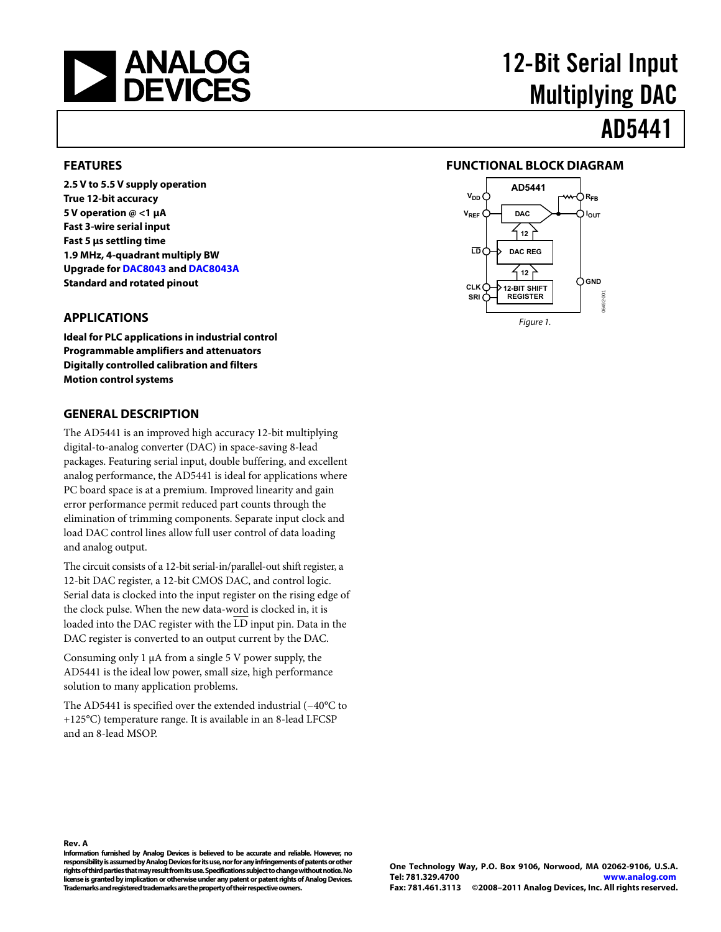<span id="page-0-0"></span>

# 12-Bit Serial Input Multiplying DAC

## AD5441

#### **FEATURES**

**2.5 V to 5.5 V supply operation True 12-bit accuracy 5 V operation @ <1 μA Fast 3-wire serial input Fast 5 μs settling time 1.9 MHz, 4-quadrant multiply BW Upgrade for [DAC8043](http://www.analog.com/DAC8043) and [DAC8043A](http://www.analog.com/DAC8043A) Standard and rotated pinout** 

#### **APPLICATIONS**

**Ideal for PLC applications in industrial control Programmable amplifiers and attenuators Digitally controlled calibration and filters Motion control systems** 

#### **GENERAL DESCRIPTION**

The AD5441 is an improved high accuracy 12-bit multiplying digital-to-analog converter (DAC) in space-saving 8-lead packages. Featuring serial input, double buffering, and excellent analog performance, the AD5441 is ideal for applications where PC board space is at a premium. Improved linearity and gain error performance permit reduced part counts through the elimination of trimming components. Separate input clock and load DAC control lines allow full user control of data loading and analog output.

The circuit consists of a 12-bit serial-in/parallel-out shift register, a 12-bit DAC register, a 12-bit CMOS DAC, and control logic. Serial data is clocked into the input register on the rising edge of the clock pulse. When the new data-word is clocked in, it is loaded into the DAC register with the  $\overline{\text{LD}}$  input pin. Data in the DAC register is converted to an output current by the DAC.

Consuming only 1 μA from a single 5 V power supply, the AD5441 is the ideal low power, small size, high performance solution to many application problems.

The AD5441 is specified over the extended industrial (−40°C to +125°C) temperature range. It is available in an 8-lead LFCSP and an 8-lead MSOP.

#### **FUNCTIONAL BLOCK DIAGRAM**



**Rev. A** 

**Information furnished by Analog Devices is believed to be accurate and reliable. However, no responsibility is assumed by Analog Devices for its use, nor for any infringements of patents or other rights of third parties that may result from its use. Specifications subject to change without notice. No license is granted by implication or otherwise under any patent or patent rights of Analog Devices. Trademarks and registered trademarks are the property of their respective owners.**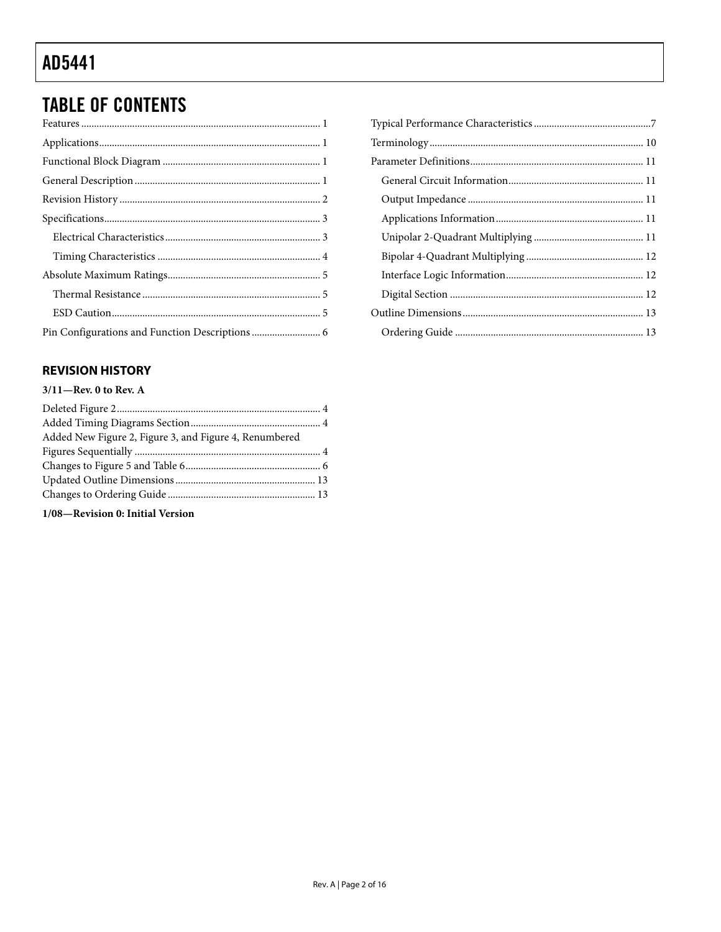## <span id="page-1-0"></span>**TABLE OF CONTENTS**

#### **REVISION HISTORY**

#### $3/11$ -Rev. 0 to Rev. A

1/08-Revision 0: Initial Version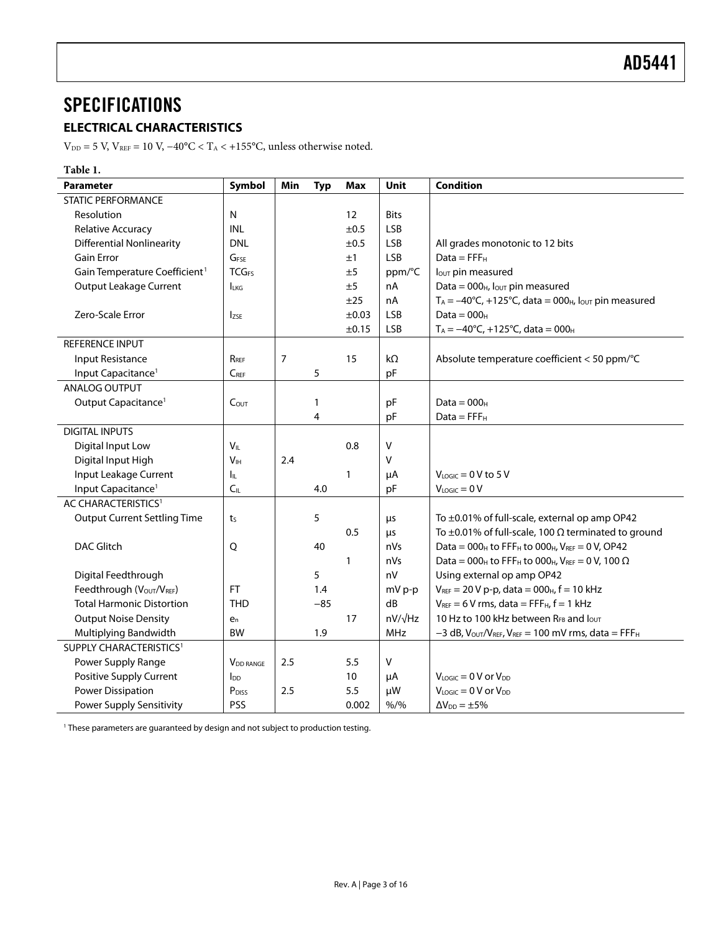### <span id="page-2-0"></span>**SPECIFICATIONS**

### **ELECTRICAL CHARACTERISTICS**

 $\rm V_{\rm DD}$  = 5 V, V $\rm_{\rm REF}$  = 10 V, −40°C < T $\rm_A$  < +155°C, unless otherwise noted.

| Table 1.                                  |                             |                |              |              |                |                                                                                                        |
|-------------------------------------------|-----------------------------|----------------|--------------|--------------|----------------|--------------------------------------------------------------------------------------------------------|
| <b>Parameter</b>                          | Symbol                      | Min            | <b>Typ</b>   | <b>Max</b>   | <b>Unit</b>    | <b>Condition</b>                                                                                       |
| <b>STATIC PERFORMANCE</b>                 |                             |                |              |              |                |                                                                                                        |
| Resolution                                | N                           |                |              | 12           | <b>Bits</b>    |                                                                                                        |
| <b>Relative Accuracy</b>                  | <b>INL</b>                  |                |              | ±0.5         | <b>LSB</b>     |                                                                                                        |
| <b>Differential Nonlinearity</b>          | <b>DNL</b>                  |                |              | ±0.5         | LSB            | All grades monotonic to 12 bits                                                                        |
| <b>Gain Error</b>                         | G <sub>FSE</sub>            |                |              | ±1           | <b>LSB</b>     | $Data = FFFH$                                                                                          |
| Gain Temperature Coefficient <sup>1</sup> | <b>TCG<sub>FS</sub></b>     |                |              | ±5           | ppm/°C         | lout pin measured                                                                                      |
| <b>Output Leakage Current</b>             | <b>LKG</b>                  |                |              | ±5           | nA             | Data = $000_H$ , lout pin measured                                                                     |
|                                           |                             |                |              | ±25          | nA             | $T_A = -40^{\circ}C$ , +125°C, data = 000 <sub>H</sub> , lout pin measured                             |
| Zero-Scale Error                          | <b>Izse</b>                 |                |              | $\pm 0.03$   | <b>LSB</b>     | Data = $000_H$                                                                                         |
|                                           |                             |                |              | ±0.15        | LSB            | $T_A = -40$ °C, +125°C, data = 000 <sub>H</sub>                                                        |
| REFERENCE INPUT                           |                             |                |              |              |                |                                                                                                        |
| Input Resistance                          | RRFF                        | $\overline{7}$ |              | 15           | $k\Omega$      | Absolute temperature coefficient < 50 ppm/°C                                                           |
| Input Capacitance <sup>1</sup>            | $C_{REF}$                   |                | 5            |              | pF             |                                                                                                        |
| ANALOG OUTPUT                             |                             |                |              |              |                |                                                                                                        |
| Output Capacitance <sup>1</sup>           | C <sub>OUT</sub>            |                | $\mathbf{1}$ |              | pF             | $Data = 000H$                                                                                          |
|                                           |                             |                | 4            |              | pF             | $Data = FFFH$                                                                                          |
| <b>DIGITAL INPUTS</b>                     |                             |                |              |              |                |                                                                                                        |
| Digital Input Low                         | $V_{IL}$                    |                |              | 0.8          | V              |                                                                                                        |
| Digital Input High                        | V <sub>IH</sub>             | 2.4            |              |              | V              |                                                                                                        |
| Input Leakage Current                     | Iμ.                         |                |              | 1            | μA             | $V_{LOGIC} = 0 V$ to 5 V                                                                               |
| Input Capacitance <sup>1</sup>            | C <sub>IL</sub>             |                | 4.0          |              | pF             | $V_{LOGIC} = 0 V$                                                                                      |
| AC CHARACTERISTICS <sup>1</sup>           |                             |                |              |              |                |                                                                                                        |
| <b>Output Current Settling Time</b>       | ts                          |                | 5            |              | μs             | To ±0.01% of full-scale, external op amp OP42                                                          |
|                                           |                             |                |              | 0.5          | μs             | To $\pm$ 0.01% of full-scale, 100 $\Omega$ terminated to ground                                        |
| <b>DAC Glitch</b>                         | Q                           |                | 40           |              | nVs            | Data = $000_H$ to FFF <sub>H</sub> to $000_H$ , $V_{REF} = 0 V$ , OP42                                 |
|                                           |                             |                |              | $\mathbf{1}$ | nVs            | Data = 000 <sub>H</sub> to FFF <sub>H</sub> to 000 <sub>H</sub> , V <sub>REF</sub> = 0 V, 100 $\Omega$ |
| Digital Feedthrough                       |                             |                | 5            |              | nV             | Using external op amp OP42                                                                             |
| Feedthrough (VOUT/VREF)                   | <b>FT</b>                   |                | 1.4          |              | mV p-p         | $V_{REF}$ = 20 V p-p, data = 000 <sub>H</sub> , f = 10 kHz                                             |
| <b>Total Harmonic Distortion</b>          | <b>THD</b>                  |                | $-85$        |              | dB             | $V_{REF}$ = 6 V rms, data = FFF $H$ , $f = 1$ kHz                                                      |
| <b>Output Noise Density</b>               | $e_n$                       |                |              | 17           | $nV/\sqrt{Hz}$ | 10 Hz to 100 kHz between RFB and lout                                                                  |
| Multiplying Bandwidth                     | <b>BW</b>                   |                | 1.9          |              | <b>MHz</b>     | $-3$ dB, $V_{\text{OUT}}/V_{\text{REF}}$ , $V_{\text{REF}} = 100$ mV rms, data = FFF <sub>H</sub>      |
| SUPPLY CHARACTERISTICS <sup>1</sup>       |                             |                |              |              |                |                                                                                                        |
| Power Supply Range                        | <b>V<sub>DD</sub></b> RANGE | 2.5            |              | 5.5          | v              |                                                                                                        |
| Positive Supply Current                   | Ino                         |                |              | 10           | μA             | $V_{\text{LOGIC}} = 0 \, V \, \text{or} \, V_{\text{DD}}$                                              |
| <b>Power Dissipation</b>                  | P <sub>DISS</sub>           | 2.5            |              | 5.5          | μW             | $V_{\text{LOGIC}} = 0 \text{ V or } V_{\text{DD}}$                                                     |
| Power Supply Sensitivity                  | PSS                         |                |              | 0.002        | $% /$ %        | $\Delta V_{DD} = \pm 5\%$                                                                              |
|                                           |                             |                |              |              |                |                                                                                                        |

<sup>1</sup> These parameters are guaranteed by design and not subject to production testing.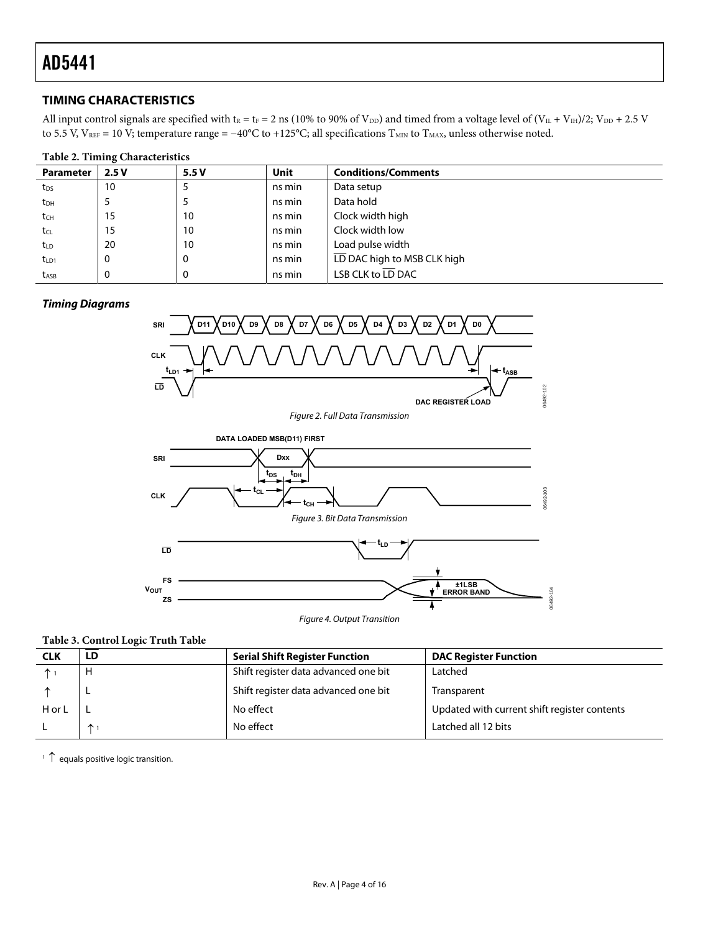#### <span id="page-3-1"></span><span id="page-3-0"></span>**TIMING CHARACTERISTICS**

All input control signals are specified with  $t_R = t_F = 2$  ns (10% to 90% of V<sub>DD</sub>) and timed from a voltage level of (V<sub>IL</sub> + V<sub>IH</sub>)/2; V<sub>DD</sub> + 2.5 V to 5.5 V, V<sub>REF</sub> = 10 V; temperature range =  $-40^{\circ}$ C to +125°C; all specifications T<sub>MIN</sub> to T<sub>MAX</sub>, unless otherwise noted.

#### **Table 2. Timing Characteristics**

| <b>Parameter</b> | 2.5V | 5.5V     | <b>Unit</b> | <b>Conditions/Comments</b>  |
|------------------|------|----------|-------------|-----------------------------|
| t <sub>DS</sub>  | 10   |          | ns min      | Data setup                  |
| t <sub>DH</sub>  |      |          | ns min      | Data hold                   |
| $t_{\text{CH}}$  | 15   | 10       | ns min      | Clock width high            |
| tcl              | 15   | 10       | ns min      | Clock width low             |
| t <sub>LD</sub>  | 20   | 10       | ns min      | Load pulse width            |
| $t_{LD1}$        | 0    | 0        | ns min      | LD DAC high to MSB CLK high |
| t <sub>ASB</sub> | υ    | $\Omega$ | ns min      | LSB CLK to LD DAC           |

#### <span id="page-3-2"></span>**Timing Diagrams**



#### **Table 3. Control Logic Truth Table**

| <b>CLK</b> | LD           | <b>Serial Shift Register Function</b> | <b>DAC Register Function</b>                 |
|------------|--------------|---------------------------------------|----------------------------------------------|
|            | н            | Shift register data advanced one bit  | Latched                                      |
|            |              | Shift register data advanced one bit  | Transparent                                  |
| H or L     |              | No effect                             | Updated with current shift register contents |
|            | $\uparrow$ 1 | No effect                             | Latched all 12 bits                          |

 $\uparrow$  <sup>1</sup> equals positive logic transition.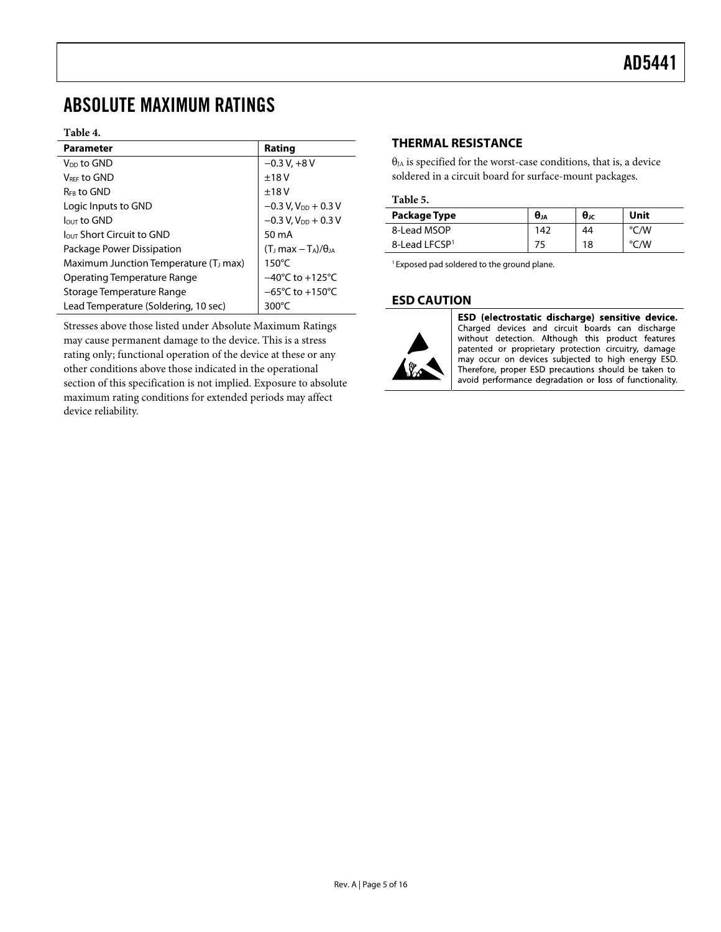### <span id="page-4-1"></span><span id="page-4-0"></span>ABSOLUTE MAXIMUM RATINGS

#### **Table 4.**

| <b>Parameter</b>                                  | Rating                              |
|---------------------------------------------------|-------------------------------------|
| V <sub>DD</sub> to GND                            | $-0.3 V + 8 V$                      |
| VREE to GND                                       | ±18V                                |
| R <sub>FR</sub> to GND                            | ±18V                                |
| Logic Inputs to GND                               | $-0.3$ V, V <sub>DD</sub> + 0.3 V   |
| $IQUT$ to GND                                     | $-0.3$ V, V <sub>DD</sub> + 0.3 V   |
| $\ln$ Short Circuit to GND                        | $50 \text{ mA}$                     |
| Package Power Dissipation                         | $(T1 max - TA)/\thetaIA$            |
| Maximum Junction Temperature (T <sub>J</sub> max) | $150^{\circ}$ C                     |
| Operating Temperature Range                       | $-40^{\circ}$ C to $+125^{\circ}$ C |
| Storage Temperature Range                         | $-65^{\circ}$ C to $+150^{\circ}$ C |
| Lead Temperature (Soldering, 10 sec)              | $300^{\circ}$ C                     |

Stresses above those listed under Absolute Maximum Ratings may cause permanent damage to the device. This is a stress rating only; functional operation of the device at these or any other conditions above those indicated in the operational section of this specification is not implied. Exposure to absolute maximum rating conditions for extended periods may affect device reliability.

#### **THERMAL RESISTANCE**

 $\theta_{JA}$  is specified for the worst-case conditions, that is, a device soldered in a circuit board for surface-mount packages.

#### **Table 5.**

| Package Type              | $\theta_{JA}$ | $\theta$ JC | Unit |
|---------------------------|---------------|-------------|------|
| 8-Lead MSOP               | 142           | 44          | °C/W |
| 8-Lead LFCSP <sup>1</sup> |               | 18          | °C/W |

<sup>1</sup> Exposed pad soldered to the ground plane.

#### **ESD CAUTION**



ESD (electrostatic discharge) sensitive device. Charged devices and circuit boards can discharge without detection. Although this product features patented or proprietary protection circuitry, damage may occur on devices subjected to high energy ESD. Therefore, proper ESD precautions should be taken to avoid performance degradation or loss of functionality.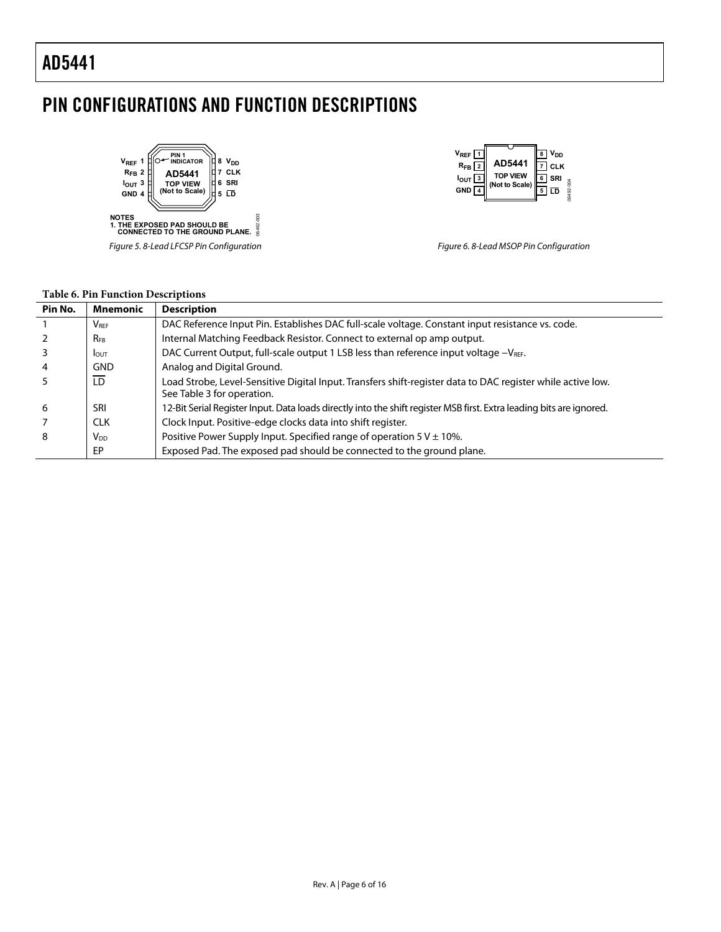### <span id="page-5-0"></span>PIN CONFIGURATIONS AND FUNCTION DESCRIPTIONS

06492-003



Figure 5. 8-Lead LFCSP Pin Configuration



Figure 6. 8-Lead MSOP Pin Configuration

#### **Table 6. Pin Function Descriptions**

| Pin No. | <b>Mnemonic</b>         | <b>Description</b>                                                                                                                        |
|---------|-------------------------|-------------------------------------------------------------------------------------------------------------------------------------------|
|         | <b>V</b> <sub>RFF</sub> | DAC Reference Input Pin. Establishes DAC full-scale voltage. Constant input resistance vs. code.                                          |
|         | <b>RFB</b>              | Internal Matching Feedback Resistor. Connect to external op amp output.                                                                   |
|         | <b>I</b> OUT            | DAC Current Output, full-scale output 1 LSB less than reference input voltage -VREF.                                                      |
| 4       | <b>GND</b>              | Analog and Digital Ground.                                                                                                                |
| 5       | LD                      | Load Strobe, Level-Sensitive Digital Input. Transfers shift-register data to DAC register while active low.<br>See Table 3 for operation. |
| 6       | SRI                     | 12-Bit Serial Register Input. Data loads directly into the shift register MSB first. Extra leading bits are ignored.                      |
|         | CLK.                    | Clock Input. Positive-edge clocks data into shift register.                                                                               |
| 8       | V <sub>DD</sub>         | Positive Power Supply Input. Specified range of operation $5 V \pm 10\%$ .                                                                |
|         | EP                      | Exposed Pad. The exposed pad should be connected to the ground plane.                                                                     |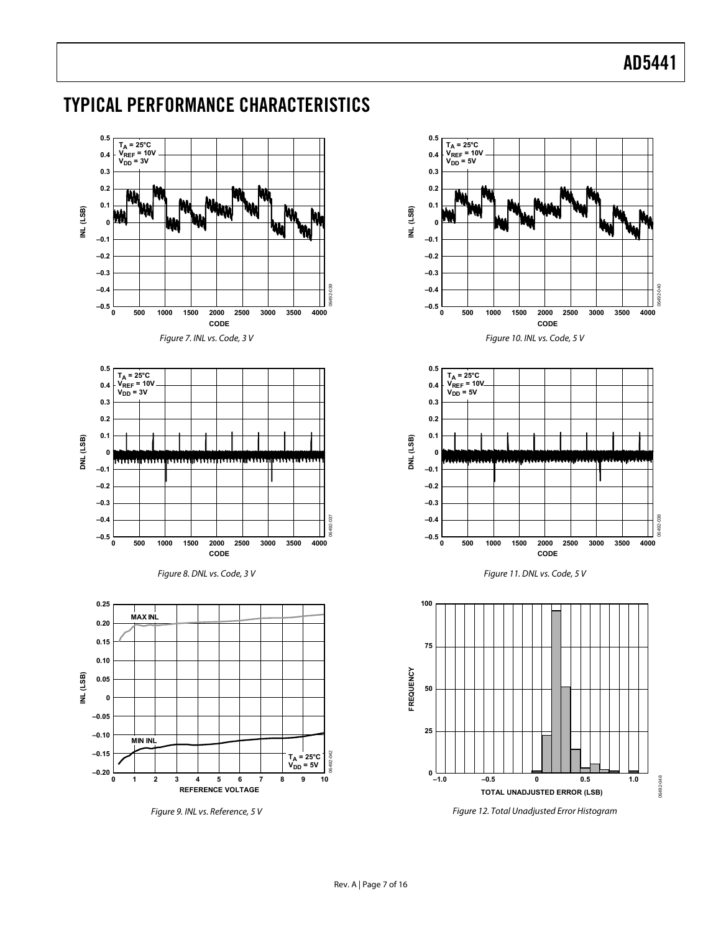06492-040

**DAO** 

06492-038

038

06492-048

06492-048

### <span id="page-6-0"></span>TYPICAL PERFORMANCE CHARACTERISTICS

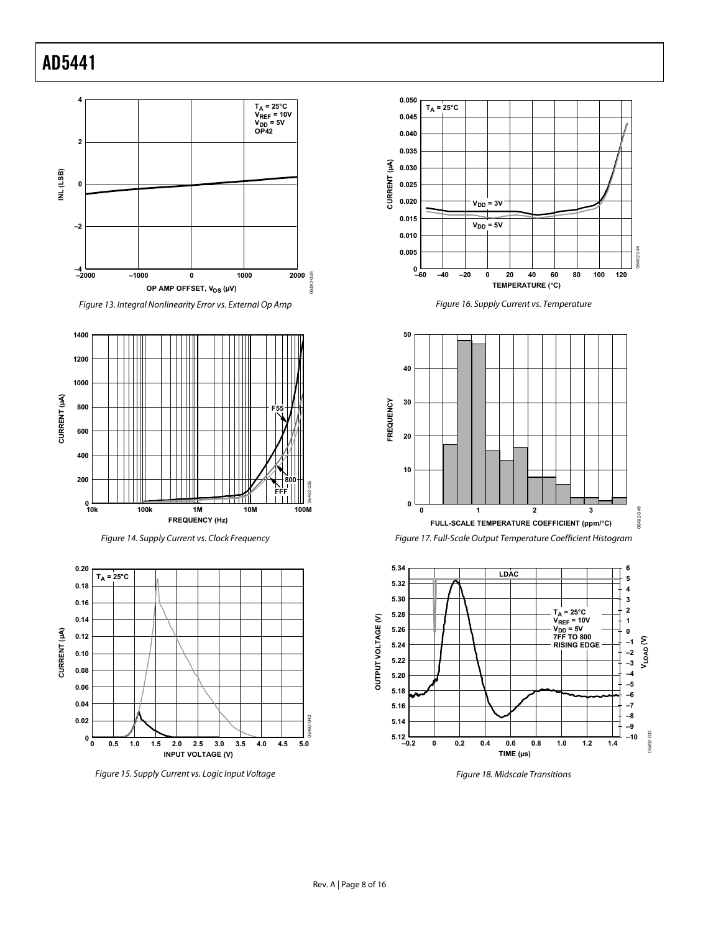<span id="page-7-0"></span>

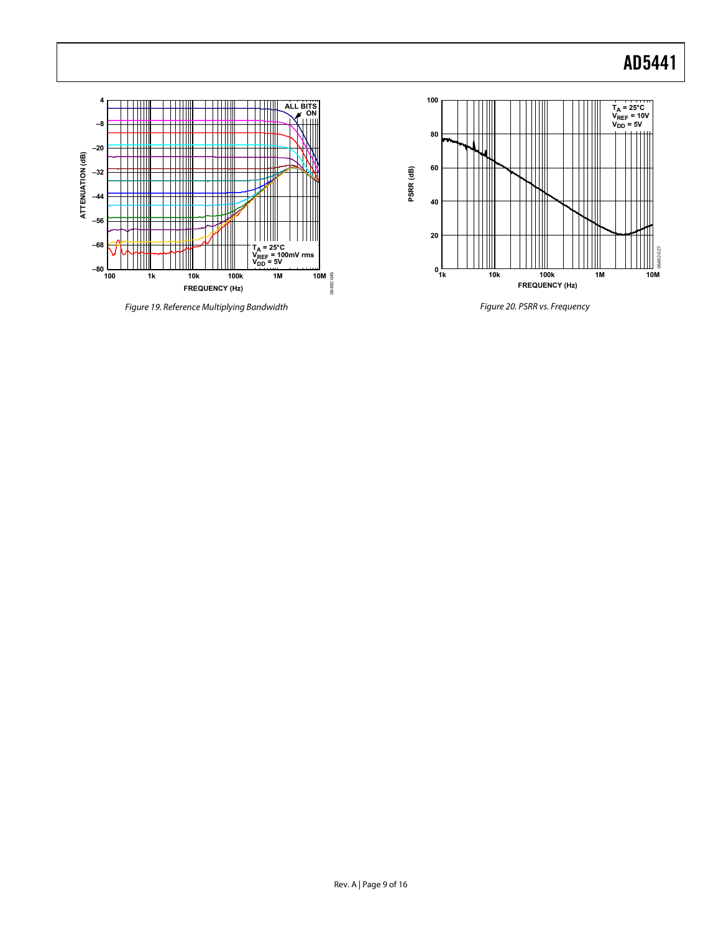T<sub>A</sub> = 25°C<br>V<sub>REF</sub> = 10V<br>V<sub>DD</sub> = 5V



Figure 19. Reference Multiplying Bandwidth

₩

Ш

anu<br>Mili

╈╈╫╫

TIIII

ШI

rш

┑

 $-80$   $\underline{\phantom{0}}_{100}$ 

**–68**

**–56 –44**

**–32 –20**

**ATTENUATION (dB)**

ATTENUATION (dB)

**–8**

Ш

╥

**4**

Figure 20. PSRR vs. Frequency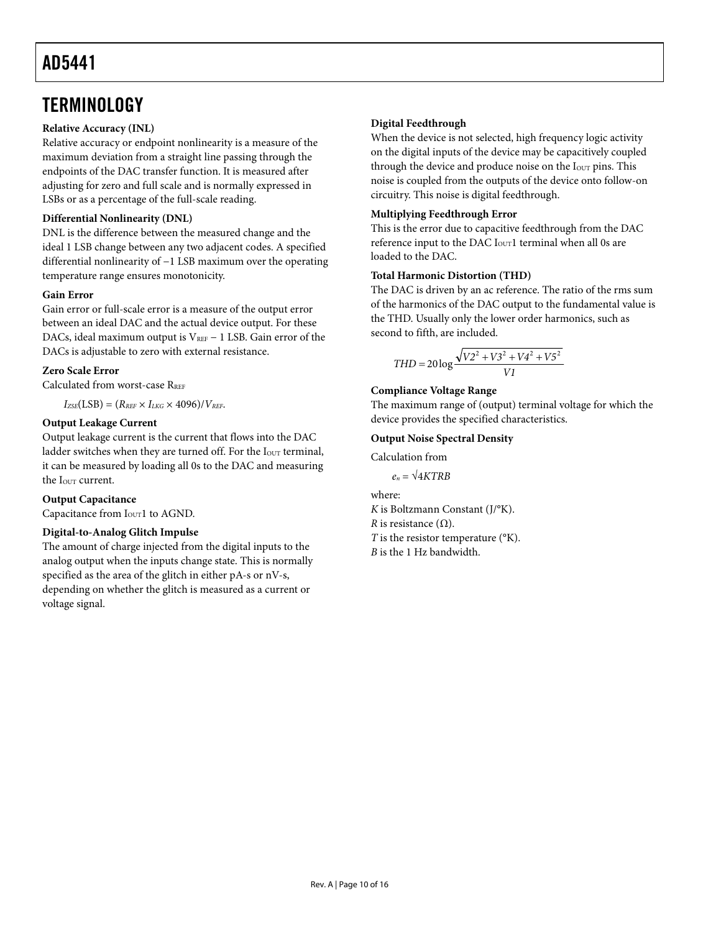### <span id="page-9-0"></span>**TERMINOLOGY**

#### **Relative Accuracy (INL)**

Relative accuracy or endpoint nonlinearity is a measure of the maximum deviation from a straight line passing through the endpoints of the DAC transfer function. It is measured after adjusting for zero and full scale and is normally expressed in LSBs or as a percentage of the full-scale reading.

#### **Differential Nonlinearity (DNL)**

DNL is the difference between the measured change and the ideal 1 LSB change between any two adjacent codes. A specified differential nonlinearity of −1 LSB maximum over the operating temperature range ensures monotonicity.

#### **Gain Error**

Gain error or full-scale error is a measure of the output error between an ideal DAC and the actual device output. For these DACs, ideal maximum output is VREF − 1 LSB. Gain error of the DACs is adjustable to zero with external resistance.

#### **Zero Scale Error**

Calculated from worst-case RREF

 $I_{ZSE}(LSB) = (R_{REF} \times I_{LKG} \times 4096)/V_{REF}$ .

#### **Output Leakage Current**

Output leakage current is the current that flows into the DAC ladder switches when they are turned off. For the I<sub>OUT</sub> terminal, it can be measured by loading all 0s to the DAC and measuring the Iour current.

#### **Output Capacitance**

Capacitance from I<sub>OUT</sub>1 to AGND.

#### **Digital-to-Analog Glitch Impulse**

The amount of charge injected from the digital inputs to the analog output when the inputs change state. This is normally specified as the area of the glitch in either pA-s or nV-s, depending on whether the glitch is measured as a current or voltage signal.

#### **Digital Feedthrough**

When the device is not selected, high frequency logic activity on the digital inputs of the device may be capacitively coupled through the device and produce noise on the I<sub>OUT</sub> pins. This noise is coupled from the outputs of the device onto follow-on circuitry. This noise is digital feedthrough.

#### **Multiplying Feedthrough Error**

This is the error due to capacitive feedthrough from the DAC reference input to the DAC  $I<sub>OUT</sub>1$  terminal when all 0s are loaded to the DAC.

#### **Total Harmonic Distortion (THD)**

The DAC is driven by an ac reference. The ratio of the rms sum of the harmonics of the DAC output to the fundamental value is the THD. Usually only the lower order harmonics, such as second to fifth, are included.

$$
THD = 20 \log \frac{\sqrt{V2^2 + V3^2 + V4^2 + V5^2}}{VI}
$$

#### **Compliance Voltage Range**

The maximum range of (output) terminal voltage for which the device provides the specified characteristics.

#### **Output Noise Spectral Density**

Calculation from

 $e_n = \sqrt{4KTRB}$ 

where: *K* is Boltzmann Constant (J/°K). *R* is resistance  $(Ω)$ . *T* is the resistor temperature (°K). *B* is the 1 Hz bandwidth.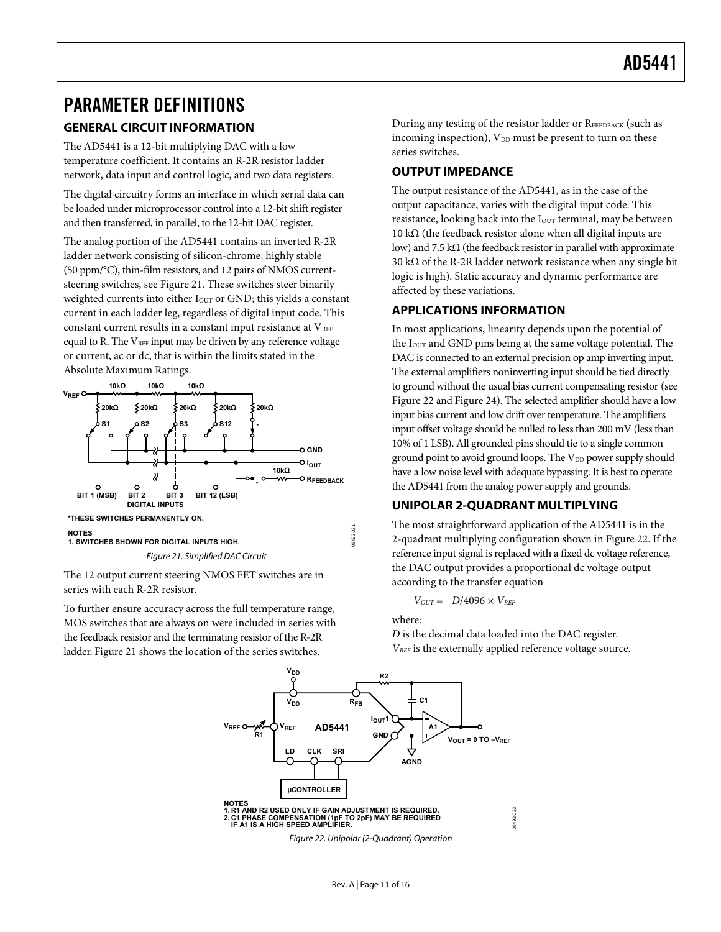### <span id="page-10-0"></span>PARAMETER DEFINITIONS

#### **GENERAL CIRCUIT INFORMATION**

The AD5441 is a 12-bit multiplying DAC with a low temperature coefficient. It contains an R-2R resistor ladder network, data input and control logic, and two data registers.

The digital circuitry forms an interface in which serial data can be loaded under microprocessor control into a 12-bit shift register and then transferred, in parallel, to the 12-bit DAC register.

The analog portion of the AD5441 contains an inverted R-2R ladder network consisting of silicon-chrome, highly stable (50 ppm/°C), thin-film resistors, and 12 pairs of NMOS currentsteering switches, see [Figure 21.](#page-10-1) These switches steer binarily weighted currents into either I<sub>OUT</sub> or GND; this yields a constant current in each ladder leg, regardless of digital input code. This constant current results in a constant input resistance at  $V_{REF}$ equal to R. The  $V_{REF}$  input may be driven by any reference voltage or current, ac or dc, that is within the limits stated in the [Absolute Maximum Ratings](#page-4-1).



<span id="page-10-1"></span>The 12 output current steering NMOS FET switches are in series with each R-2R resistor.

<span id="page-10-2"></span>To further ensure accuracy across the full temperature range, MOS switches that are always on were included in series with the feedback resistor and the terminating resistor of the R-2R ladder. [Figure 21](#page-10-1) shows the location of the series switches.

During any testing of the resistor ladder or RFEEDBACK (such as incoming inspection),  $V_{DD}$  must be present to turn on these series switches.

#### **OUTPUT IMPEDANCE**

The output resistance of the AD5441, as in the case of the output capacitance, varies with the digital input code. This resistance, looking back into the I<sub>OUT</sub> terminal, may be between 10 kΩ (the feedback resistor alone when all digital inputs are low) and 7.5 k $\Omega$  (the feedback resistor in parallel with approximate 30 kΩ of the R-2R ladder network resistance when any single bit logic is high). Static accuracy and dynamic performance are affected by these variations.

#### **APPLICATIONS INFORMATION**

In most applications, linearity depends upon the potential of the  $I<sub>OUT</sub>$  and GND pins being at the same voltage potential. The DAC is connected to an external precision op amp inverting input. The external amplifiers noninverting input should be tied directly to ground without the usual bias current compensating resistor (see [Figure 22](#page-10-2) and [Figure 24\)](#page-11-1). The selected amplifier should have a low input bias current and low drift over temperature. The amplifiers input offset voltage should be nulled to less than 200 mV (less than 10% of 1 LSB). All grounded pins should tie to a single common ground point to avoid ground loops. The V<sub>DD</sub> power supply should have a low noise level with adequate bypassing. It is best to operate the AD5441 from the analog power supply and grounds.

#### **UNIPOLAR 2-QUADRANT MULTIPLYING**

The most straightforward application of the AD5441 is in the 2-quadrant multiplying configuration shown in [Figure 22](#page-10-2). If the reference input signal is replaced with a fixed dc voltage reference, the DAC output provides a proportional dc voltage output according to the transfer equation

 $V_{OUT} = -D/4096 \times V_{REF}$ 

where:

*D* is the decimal data loaded into the DAC register. *VREF* is the externally applied reference voltage source.



Figure 22. Unipolar (2-Quadrant) Operation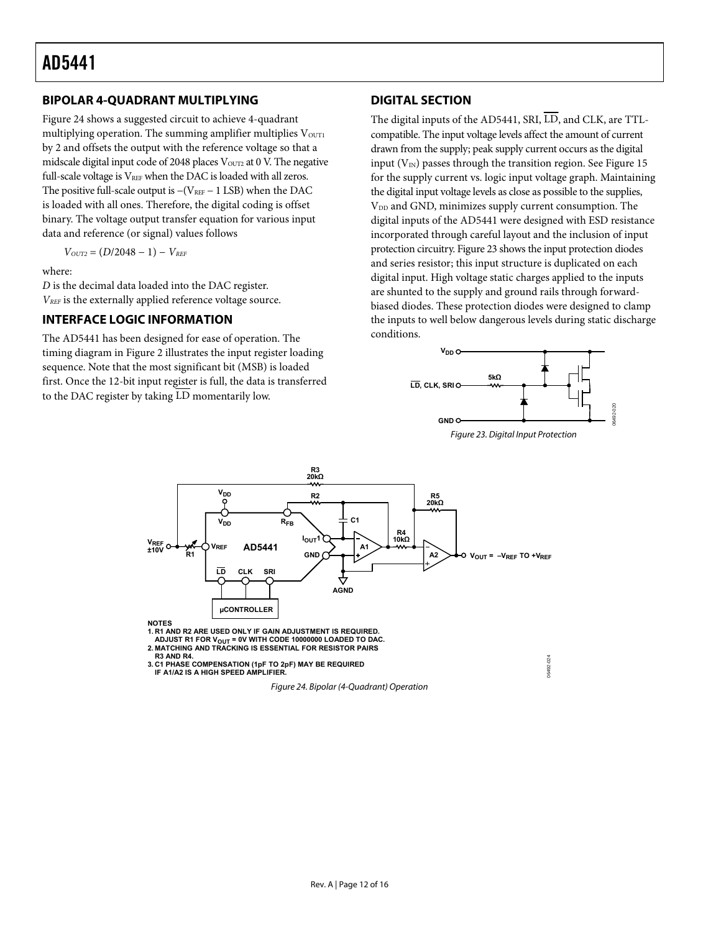#### <span id="page-11-0"></span>**BIPOLAR 4-QUADRANT MULTIPLYING**

[Figure 24](#page-11-1) shows a suggested circuit to achieve 4-quadrant multiplying operation. The summing amplifier multiplies  $V_{\text{OUT1}}$ by 2 and offsets the output with the reference voltage so that a midscale digital input code of 2048 places VoUT2 at 0 V. The negative full-scale voltage is  $V_{REF}$  when the DAC is loaded with all zeros. The positive full-scale output is  $-(V_{REF}-1$  LSB) when the DAC is loaded with all ones. Therefore, the digital coding is offset binary. The voltage output transfer equation for various input data and reference (or signal) values follows

$$
V_{OUT2} = (D/2048 - 1) - V_{REF}
$$

where:

*D* is the decimal data loaded into the DAC register. *VREF* is the externally applied reference voltage source.

#### **INTERFACE LOGIC INFORMATION**

<span id="page-11-2"></span>The AD5441 has been designed for ease of operation. The timing diagram in [Figure 2](#page-3-2) illustrates the input register loading sequence. Note that the most significant bit (MSB) is loaded first. Once the 12-bit input register is full, the data is transferred to the DAC register by taking LD momentarily low.

#### **DIGITAL SECTION**

The digital inputs of the AD5441, SRI,  $\overline{LD}$ , and CLK, are TTLcompatible. The input voltage levels affect the amount of current drawn from the supply; peak supply current occurs as the digital input (V $_{\rm IN}$ ) passes through the transition region. See [Figure 15](#page-7-0) for the supply current vs. logic input voltage graph. Maintaining the digital input voltage levels as close as possible to the supplies, V<sub>DD</sub> and GND, minimizes supply current consumption. The digital inputs of the AD5441 were designed with ESD resistance incorporated through careful layout and the inclusion of input protectioncircuitry. Figure 23 shows the input protection diodes and series resistor; this input structure is duplicated on each digital input. High voltage static charges applied to the inputs are shunted to the supply and ground rails through forwardbiased diodes. These protection diodes were designed to clamp the inputs to well below dangerous levels during static discharge conditions.



06492-024

3492-024



**1. R1 AND R2 ARE USED ONLY IF GAIN ADJUSTMENT IS REQUIRED.**

**ADJUST R1 FOR VOUT = 0V WITH CODE 10000000 LOADED TO DAC. 2. MATCHING AND TRACKING IS ESSENTIAL FOR RESISTOR PAIRS**

**R3 AND R4.**

<span id="page-11-1"></span>**3. C1 PHASE COMPENSATION (1pF TO 2pF) MAY BE REQUIRED IF A1/A2 IS A HIGH SPEED AMPLIFIER.**

Figure 24. Bipolar (4-Quadrant) Operation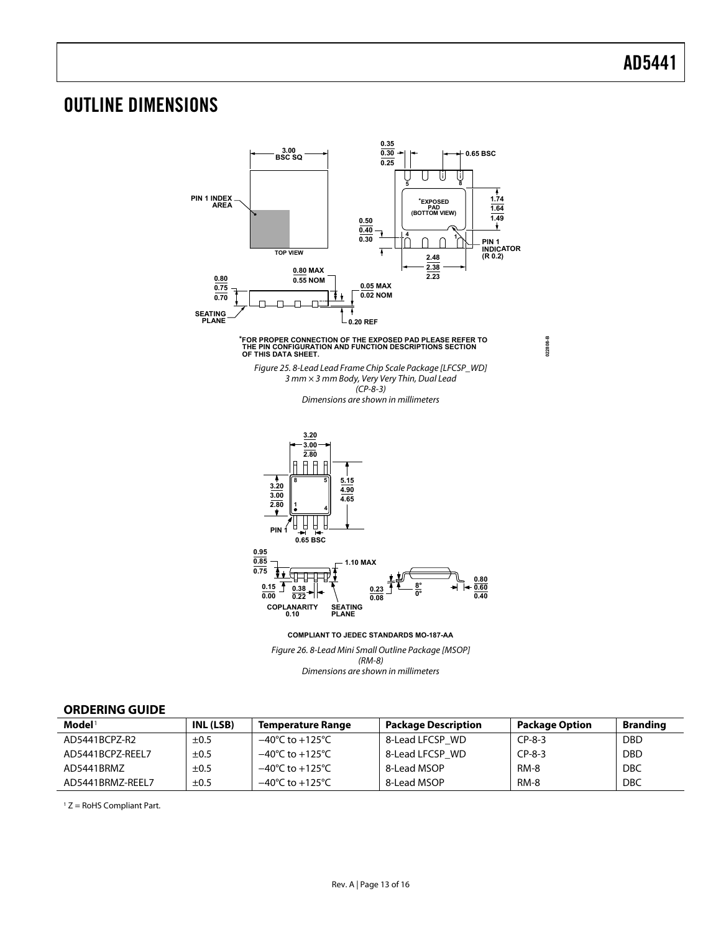### <span id="page-12-0"></span>OUTLINE DIMENSIONS



Dimensions are shown in millimeters

#### **ORDERING GUIDE**

| $\mathbf{Model}^1$ | INL (LSB) | <b>Temperature Range</b>            | <b>Package Description</b> | <b>Package Option</b> | <b>Branding</b> |
|--------------------|-----------|-------------------------------------|----------------------------|-----------------------|-----------------|
| AD5441BCPZ-R2      | $\pm 0.5$ | $-40^{\circ}$ C to $+125^{\circ}$ C | 8-Lead LFCSP WD            | $CP-8-3$              | <b>DBD</b>      |
| AD5441BCPZ-REEL7   | $\pm 0.5$ | $-40^{\circ}$ C to $+125^{\circ}$ C | 8-Lead LFCSP WD            | $CP-8-3$              | <b>DBD</b>      |
| AD5441BRMZ         | $\pm 0.5$ | $-40^{\circ}$ C to $+125^{\circ}$ C | 8-Lead MSOP                | RM-8                  | <b>DBC</b>      |
| AD5441BRMZ-REEL7   | $\pm 0.5$ | $-40^{\circ}$ C to $+125^{\circ}$ C | 8-Lead MSOP                | <b>RM-8</b>           | <b>DBC</b>      |

 $1 Z =$  RoHS Compliant Part.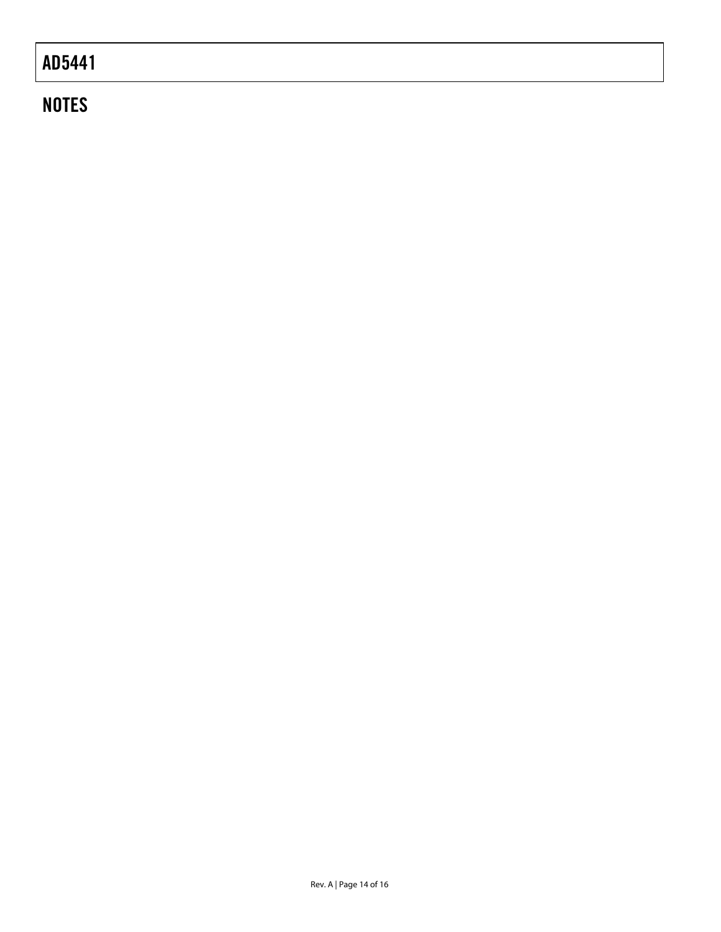## **NOTES**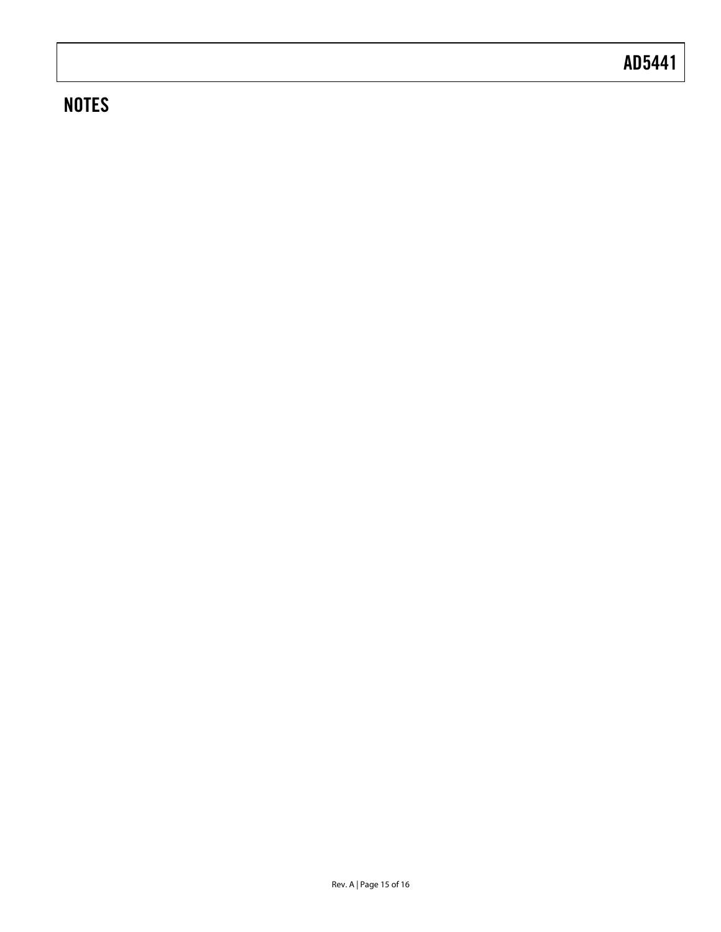## **NOTES**